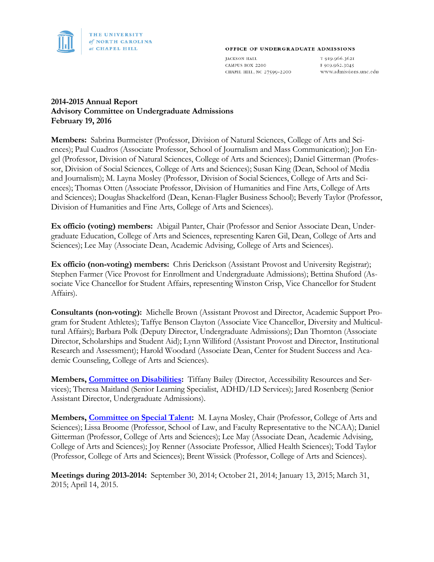

#### OFFICE OF UNDERGRADUATE ADMISSIONS

**JACKSON HALL** CAMPUS BOX 2200 CHAPEL HILL, NC 27599-2200

T 919.966.3621 F 919.962.3045 www.admissions.unc.edu

### **2014-2015 Annual Report Advisory Committee on Undergraduate Admissions February 19, 2016**

**Members:** Sabrina Burmeister (Professor, Division of Natural Sciences, College of Arts and Sciences); Paul Cuadros (Associate Professor, School of Journalism and Mass Communication); Jon Engel (Professor, Division of Natural Sciences, College of Arts and Sciences); Daniel Gitterman (Professor, Division of Social Sciences, College of Arts and Sciences); Susan King (Dean, School of Media and Journalism); M. Layna Mosley (Professor, Division of Social Sciences, College of Arts and Sciences); Thomas Otten (Associate Professor, Division of Humanities and Fine Arts, College of Arts and Sciences); Douglas Shackelford (Dean, Kenan-Flagler Business School); Beverly Taylor (Professor, Division of Humanities and Fine Arts, College of Arts and Sciences).

**Ex officio (voting) members:** Abigail Panter, Chair (Professor and Senior Associate Dean, Undergraduate Education, College of Arts and Sciences, representing Karen Gil, Dean, College of Arts and Sciences); Lee May (Associate Dean, Academic Advising, College of Arts and Sciences).

**Ex officio (non-voting) members:** Chris Derickson (Assistant Provost and University Registrar); Stephen Farmer (Vice Provost for Enrollment and Undergraduate Admissions); Bettina Shuford (Associate Vice Chancellor for Student Affairs, representing Winston Crisp, Vice Chancellor for Student Affairs).

**Consultants (non-voting):** Michelle Brown (Assistant Provost and Director, Academic Support Program for Student Athletes); Taffye Benson Clayton (Associate Vice Chancellor, Diversity and Multicultural Affairs); Barbara Polk (Deputy Director, Undergraduate Admissions); Dan Thornton (Associate Director, Scholarships and Student Aid); Lynn Williford (Assistant Provost and Director, Institutional Research and Assessment); Harold Woodard (Associate Dean, Center for Student Success and Academic Counseling, College of Arts and Sciences).

**Members, [Committee on Disabilities:](http://faccoun.unc.edu/committees-2/appointed-committees/undergraduate-admissions-committee/committee-on-disabilities/)** Tiffany Bailey (Director, Accessibility Resources and Services); Theresa Maitland (Senior Learning Specialist, ADHD/LD Services); Jared Rosenberg (Senior Assistant Director, Undergraduate Admissions).

**Members, [Committee on Special Talent:](http://faccoun.unc.edu/committees-2/appointed-committees/undergraduate-admissions-committee/committee-on-special-talent/)** M. Layna Mosley, Chair (Professor, College of Arts and Sciences); Lissa Broome (Professor, School of Law, and Faculty Representative to the NCAA); Daniel Gitterman (Professor, College of Arts and Sciences); Lee May (Associate Dean, Academic Advising, College of Arts and Sciences); Joy Renner (Associate Professor, Allied Health Sciences); Todd Taylor (Professor, College of Arts and Sciences); Brent Wissick (Professor, College of Arts and Sciences).

**Meetings during 2013-2014:** September 30, 2014; October 21, 2014; January 13, 2015; March 31, 2015; April 14, 2015.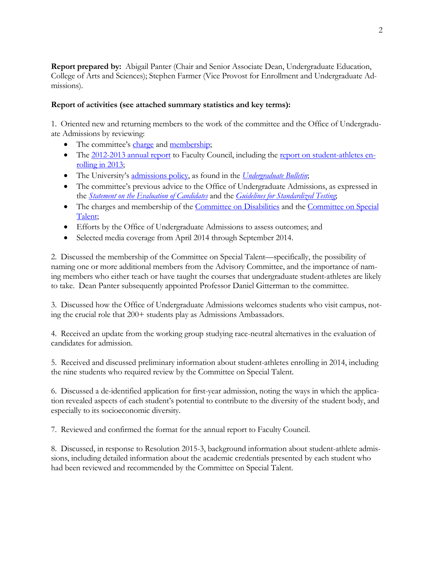**Report prepared by:** Abigail Panter (Chair and Senior Associate Dean, Undergraduate Education, College of Arts and Sciences); Stephen Farmer (Vice Provost for Enrollment and Undergraduate Admissions).

#### **Report of activities (see attached summary statistics and key terms):**

1. Oriented new and returning members to the work of the committee and the Office of Undergraduate Admissions by reviewing:

- The committee's [charge](http://faccoun.unc.edu/faculty-code-and-policies/faculty-code/article-4/) and [membership;](http://faccoun.unc.edu/committees-2/appointed-committees/undergraduate-admissions-committee/)
- The [2012-2013 annual report](http://faccoun.unc.edu/wp-content/uploads/2010/10/UAD2012-2013.pdf) to Faculty Council, including the [report on student-athletes en](http://3qh929iorux3fdpl532k03kg.wpengine.netdna-cdn.com/wp-content/uploads/2014/04/2013-Athletics-Admissions-Report.pdf)[rolling in 2013;](http://3qh929iorux3fdpl532k03kg.wpengine.netdna-cdn.com/wp-content/uploads/2014/04/2013-Athletics-Admissions-Report.pdf)
- The University's [admissions policy,](http://www.unc.edu/ugradbulletin/admissions.html) as found in the *[Undergraduate Bulletin](http://www.unc.edu/ugradbulletin/)*;
- The committee's previous advice to the Office of Undergraduate Admissions, as expressed in the *[Statement on the Evaluation of Candidates](http://admissions.unc.edu/files/2013/09/Statement_on_the_Evaluation_of_Candidates.pdf)* and the *[Guidelines for Standardized Testing](http://admissions.unc.edu/files/2013/09/Guidelines_for_Standardized_Testing.pdf)*;
- The charges and membership of the [Committee on Disabilities](http://faccoun.unc.edu/committees-2/appointed-committees/undergraduate-admissions-committee/committee-on-disabilities/) and the Committee on Special [Talent;](http://faccoun.unc.edu/committees-2/appointed-committees/undergraduate-admissions-committee/committee-on-special-talent/)
- Efforts by the Office of Undergraduate Admissions to assess outcomes; and
- Selected media coverage from April 2014 through September 2014.

2. Discussed the membership of the Committee on Special Talent—specifically, the possibility of naming one or more additional members from the Advisory Committee, and the importance of naming members who either teach or have taught the courses that undergraduate student-athletes are likely to take. Dean Panter subsequently appointed Professor Daniel Gitterman to the committee.

3. Discussed how the Office of Undergraduate Admissions welcomes students who visit campus, noting the crucial role that 200+ students play as Admissions Ambassadors.

4. Received an update from the working group studying race-neutral alternatives in the evaluation of candidates for admission.

5. Received and discussed preliminary information about student-athletes enrolling in 2014, including the nine students who required review by the Committee on Special Talent.

6. Discussed a de-identified application for first-year admission, noting the ways in which the application revealed aspects of each student's potential to contribute to the diversity of the student body, and especially to its socioeconomic diversity.

7. Reviewed and confirmed the format for the annual report to Faculty Council.

8. Discussed, in response to Resolution 2015-3, background information about student-athlete admissions, including detailed information about the academic credentials presented by each student who had been reviewed and recommended by the Committee on Special Talent.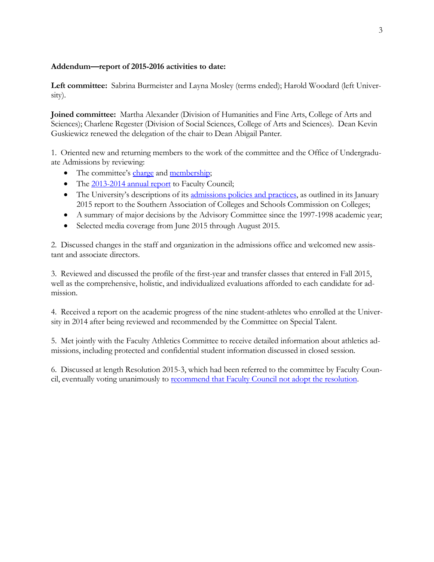#### **Addendum—report of 2015-2016 activities to date:**

**Left committee:** Sabrina Burmeister and Layna Mosley (terms ended); Harold Woodard (left University).

**Joined committee:** Martha Alexander (Division of Humanities and Fine Arts, College of Arts and Sciences); Charlene Regester (Division of Social Sciences, College of Arts and Sciences). Dean Kevin Guskiewicz renewed the delegation of the chair to Dean Abigail Panter.

1. Oriented new and returning members to the work of the committee and the Office of Undergraduate Admissions by reviewing:

- The committee's [charge](http://faccoun.unc.edu/faculty-code-and-policies/faculty-code/article-4/) and [membership;](http://faccoun.unc.edu/committees-2/appointed-committees/undergraduate-admissions-committee/)
- The 2013-2014 [annual report](http://faccoun.unc.edu/wp-content/uploads/2010/10/UAD2013-2014_CORRECTED.pdf) to Faculty Council;
- The University's descriptions of its [admissions policies and practices,](http://www.unc.edu/sacs/Jan2015/Reports/3.4.3-Admission.html) as outlined in its January 2015 report to the Southern Association of Colleges and Schools Commission on Colleges;
- A summary of major decisions by the Advisory Committee since the 1997-1998 academic year;
- Selected media coverage from June 2015 through August 2015.

2. Discussed changes in the staff and organization in the admissions office and welcomed new assistant and associate directors.

3. Reviewed and discussed the profile of the first-year and transfer classes that entered in Fall 2015, well as the comprehensive, holistic, and individualized evaluations afforded to each candidate for admission.

4. Received a report on the academic progress of the nine student-athletes who enrolled at the University in 2014 after being reviewed and recommended by the Committee on Special Talent.

5. Met jointly with the Faculty Athletics Committee to receive detailed information about athletics admissions, including protected and confidential student information discussed in closed session.

6. Discussed at length Resolution 2015-3, which had been referred to the committee by Faculty Council, eventually voting unanimously to [recommend that Faculty Council not adopt the resolution.](http://faccoun.unc.edu/faculty-council/meeting-materials-2015-16/november-13-2015/)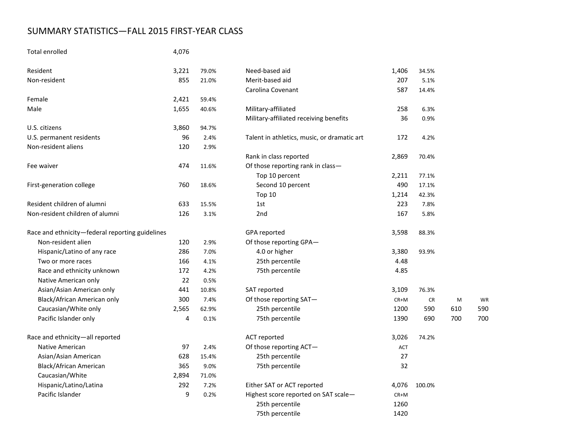# SUMMARY STATISTICS—FALL 2015 FIRST-YEAR CLASS

### Total enrolled 4,076

| Resident                                        | 3,221 | 79.0% | Need-based aid                              | 1,406  | 34.5%  |
|-------------------------------------------------|-------|-------|---------------------------------------------|--------|--------|
| Non-resident                                    | 855   | 21.0% | Merit-based aid                             | 207    | 5.1%   |
|                                                 |       |       | Carolina Covenant                           | 587    | 14.4%  |
| Female                                          | 2,421 | 59.4% |                                             |        |        |
| Male                                            | 1,655 | 40.6% | Military-affiliated                         | 258    | 6.3%   |
|                                                 |       |       | Military-affiliated receiving benefits      | 36     | 0.9%   |
| U.S. citizens                                   | 3,860 | 94.7% |                                             |        |        |
| U.S. permanent residents                        | 96    | 2.4%  | Talent in athletics, music, or dramatic art | 172    | 4.2%   |
| Non-resident aliens                             | 120   | 2.9%  |                                             |        |        |
|                                                 |       |       | Rank in class reported                      | 2,869  | 70.4%  |
| Fee waiver                                      | 474   | 11.6% | Of those reporting rank in class-           |        |        |
|                                                 |       |       | Top 10 percent                              | 2,211  | 77.1%  |
| First-generation college                        | 760   | 18.6% | Second 10 percent                           | 490    | 17.1%  |
|                                                 |       |       | Top 10                                      | 1,214  | 42.3%  |
| Resident children of alumni                     | 633   | 15.5% | 1st                                         | 223    | 7.8%   |
| Non-resident children of alumni                 | 126   | 3.1%  | 2nd                                         | 167    | 5.8%   |
| Race and ethnicity-federal reporting guidelines |       |       | GPA reported                                | 3,598  | 88.3%  |
| Non-resident alien                              | 120   | 2.9%  | Of those reporting GPA-                     |        |        |
| Hispanic/Latino of any race                     | 286   | 7.0%  | 4.0 or higher                               | 3,380  | 93.9%  |
| Two or more races                               | 166   | 4.1%  | 25th percentile                             | 4.48   |        |
| Race and ethnicity unknown                      | 172   | 4.2%  | 75th percentile                             | 4.85   |        |
| Native American only                            | 22    | 0.5%  |                                             |        |        |
| Asian/Asian American only                       | 441   | 10.8% | SAT reported                                | 3,109  | 76.3%  |
| Black/African American only                     | 300   | 7.4%  | Of those reporting SAT-                     | CR+M   | CF     |
| Caucasian/White only                            | 2,565 | 62.9% | 25th percentile                             | 1200   | 590    |
| Pacific Islander only                           | 4     | 0.1%  | 75th percentile                             | 1390   | 690    |
| Race and ethnicity-all reported                 |       |       | <b>ACT</b> reported                         | 3,026  | 74.2%  |
| Native American                                 | 97    | 2.4%  | Of those reporting ACT-                     | ACT    |        |
| Asian/Asian American                            | 628   | 15.4% | 25th percentile                             | 27     |        |
| Black/African American                          | 365   | 9.0%  | 75th percentile                             | 32     |        |
| Caucasian/White                                 | 2,894 | 71.0% |                                             |        |        |
| Hispanic/Latino/Latina                          | 292   | 7.2%  | Either SAT or ACT reported                  | 4,076  | 100.0% |
| Pacific Islander                                | 9     | 0.2%  | Highest score reported on SAT scale-        | $CR+M$ |        |
|                                                 |       |       | 25th percentile                             | 1260   |        |

| ident                                        | 3,221 | 79.0% | Need-based aid                              | 1,406  | 34.5%     |     |     |
|----------------------------------------------|-------|-------|---------------------------------------------|--------|-----------|-----|-----|
| n-resident                                   | 855   | 21.0% | Merit-based aid                             | 207    | 5.1%      |     |     |
|                                              |       |       | Carolina Covenant                           | 587    | 14.4%     |     |     |
| ıale                                         | 2,421 | 59.4% |                                             |        |           |     |     |
| е                                            | 1,655 | 40.6% | Military-affiliated                         | 258    | 6.3%      |     |     |
|                                              |       |       | Military-affiliated receiving benefits      | 36     | 0.9%      |     |     |
| citizens                                     | 3,860 | 94.7% |                                             |        |           |     |     |
| permanent residents                          | 96    | 2.4%  | Talent in athletics, music, or dramatic art | 172    | 4.2%      |     |     |
| eresident aliens                             | 120   | 2.9%  |                                             |        |           |     |     |
|                                              |       |       | Rank in class reported                      | 2,869  | 70.4%     |     |     |
| waiver                                       | 474   | 11.6% | Of those reporting rank in class-           |        |           |     |     |
|                                              |       |       | Top 10 percent                              | 2,211  | 77.1%     |     |     |
| t-generation college                         | 760   | 18.6% | Second 10 percent                           | 490    | 17.1%     |     |     |
|                                              |       |       | Top 10                                      | 1,214  | 42.3%     |     |     |
| ident children of alumni                     | 633   | 15.5% | 1st                                         | 223    | 7.8%      |     |     |
| i-resident children of alumni                | 126   | 3.1%  | 2 <sub>nd</sub>                             | 167    | 5.8%      |     |     |
| e and ethnicity-federal reporting guidelines |       |       | GPA reported                                | 3,598  | 88.3%     |     |     |
| Non-resident alien                           | 120   | 2.9%  | Of those reporting GPA-                     |        |           |     |     |
| Hispanic/Latino of any race                  | 286   | 7.0%  | 4.0 or higher                               | 3,380  | 93.9%     |     |     |
| Two or more races                            | 166   | 4.1%  | 25th percentile                             | 4.48   |           |     |     |
| Race and ethnicity unknown                   | 172   | 4.2%  | 75th percentile                             | 4.85   |           |     |     |
| Native American only                         | 22    | 0.5%  |                                             |        |           |     |     |
| Asian/Asian American only                    | 441   | 10.8% | SAT reported                                | 3,109  | 76.3%     |     |     |
| Black/African American only                  | 300   | 7.4%  | Of those reporting SAT-                     | $CR+M$ | <b>CR</b> | M   | WF  |
| Caucasian/White only                         | 2,565 | 62.9% | 25th percentile                             | 1200   | 590       | 610 | 590 |
| Pacific Islander only                        | 4     | 0.1%  | 75th percentile                             | 1390   | 690       | 700 | 700 |
| e and ethnicity-all reported                 |       |       | ACT reported                                | 3,026  | 74.2%     |     |     |
| Native American                              | 97    | 2.4%  | Of those reporting ACT-                     | ACT    |           |     |     |
| Asian/Asian American                         | 628   | 15.4% | 25th percentile                             | 27     |           |     |     |
| Black/African American                       | 365   | 9.0%  | 75th percentile                             | 32     |           |     |     |
| Caucasian/White                              | 2,894 | 71.0% |                                             |        |           |     |     |
| Hispanic/Latino/Latina                       | 292   | 7.2%  | Either SAT or ACT reported                  | 4,076  | 100.0%    |     |     |
| Pacific Islander                             | 9     | 0.2%  | Highest score reported on SAT scale-        | $CR+M$ |           |     |     |
|                                              |       |       | 25th percentile                             | 1260   |           |     |     |
|                                              |       |       | 75th percentile                             | 1420   |           |     |     |
|                                              |       |       |                                             |        |           |     |     |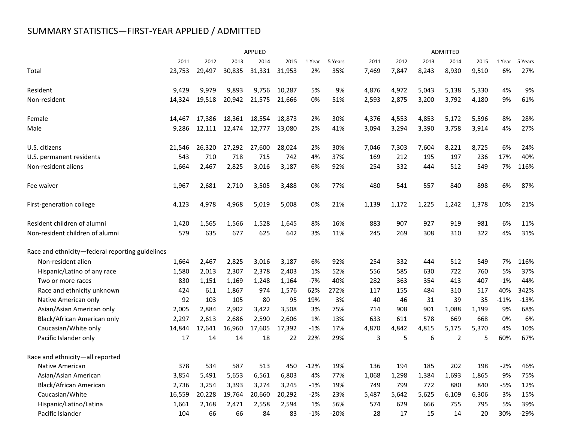# SUMMARY STATISTICS—FIRST-YEAR APPLIED / ADMITTED

|                                                 | APPLIED |        |        |        |        |        | ADMITTED |       |       |       |                |       |        |         |
|-------------------------------------------------|---------|--------|--------|--------|--------|--------|----------|-------|-------|-------|----------------|-------|--------|---------|
|                                                 | 2011    | 2012   | 2013   | 2014   | 2015   | 1 Year | 5 Years  | 2011  | 2012  | 2013  | 2014           | 2015  | 1 Year | 5 Years |
| Total                                           | 23,753  | 29,497 | 30,835 | 31,331 | 31,953 | 2%     | 35%      | 7,469 | 7,847 | 8,243 | 8,930          | 9,510 | 6%     | 27%     |
| Resident                                        | 9.429   | 9,979  | 9,893  | 9,756  | 10,287 | 5%     | 9%       | 4,876 | 4,972 | 5,043 | 5,138          | 5,330 | 4%     | 9%      |
| Non-resident                                    | 14,324  | 19,518 | 20,942 | 21,575 | 21,666 | 0%     | 51%      | 2,593 | 2,875 | 3,200 | 3,792          | 4,180 | 9%     | 61%     |
| Female                                          | 14,467  | 17,386 | 18,361 | 18,554 | 18,873 | 2%     | 30%      | 4,376 | 4,553 | 4,853 | 5,172          | 5,596 | 8%     | 28%     |
| Male                                            | 9,286   | 12,111 | 12,474 | 12,777 | 13,080 | 2%     | 41%      | 3,094 | 3,294 | 3,390 | 3,758          | 3,914 | 4%     | 27%     |
| U.S. citizens                                   | 21,546  | 26,320 | 27,292 | 27,600 | 28,024 | 2%     | 30%      | 7,046 | 7,303 | 7,604 | 8,221          | 8,725 | 6%     | 24%     |
| U.S. permanent residents                        | 543     | 710    | 718    | 715    | 742    | 4%     | 37%      | 169   | 212   | 195   | 197            | 236   | 17%    | 40%     |
| Non-resident aliens                             | 1,664   | 2,467  | 2,825  | 3,016  | 3,187  | 6%     | 92%      | 254   | 332   | 444   | 512            | 549   | 7%     | 116%    |
| Fee waiver                                      | 1,967   | 2,681  | 2,710  | 3,505  | 3,488  | 0%     | 77%      | 480   | 541   | 557   | 840            | 898   | 6%     | 87%     |
| First-generation college                        | 4,123   | 4,978  | 4,968  | 5,019  | 5,008  | 0%     | 21%      | 1,139 | 1,172 | 1,225 | 1,242          | 1,378 | 10%    | 21%     |
| Resident children of alumni                     | 1,420   | 1,565  | 1,566  | 1,528  | 1,645  | 8%     | 16%      | 883   | 907   | 927   | 919            | 981   | 6%     | 11%     |
| Non-resident children of alumni                 | 579     | 635    | 677    | 625    | 642    | 3%     | 11%      | 245   | 269   | 308   | 310            | 322   | 4%     | 31%     |
| Race and ethnicity-federal reporting guidelines |         |        |        |        |        |        |          |       |       |       |                |       |        |         |
| Non-resident alien                              | 1,664   | 2,467  | 2,825  | 3,016  | 3,187  | 6%     | 92%      | 254   | 332   | 444   | 512            | 549   | 7%     | 116%    |
| Hispanic/Latino of any race                     | 1,580   | 2,013  | 2,307  | 2,378  | 2,403  | 1%     | 52%      | 556   | 585   | 630   | 722            | 760   | 5%     | 37%     |
| Two or more races                               | 830     | 1,151  | 1,169  | 1,248  | 1,164  | $-7%$  | 40%      | 282   | 363   | 354   | 413            | 407   | $-1%$  | 44%     |
| Race and ethnicity unknown                      | 424     | 611    | 1,867  | 974    | 1,576  | 62%    | 272%     | 117   | 155   | 484   | 310            | 517   | 40%    | 342%    |
| Native American only                            | 92      | 103    | 105    | 80     | 95     | 19%    | 3%       | 40    | 46    | 31    | 39             | 35    | $-11%$ | $-13%$  |
| Asian/Asian American only                       | 2,005   | 2,884  | 2,902  | 3,422  | 3,508  | 3%     | 75%      | 714   | 908   | 901   | 1,088          | 1,199 | 9%     | 68%     |
| Black/African American only                     | 2,297   | 2,613  | 2,686  | 2,590  | 2,606  | 1%     | 13%      | 633   | 611   | 578   | 669            | 668   | 0%     | 6%      |
| Caucasian/White only                            | 14,844  | 17,641 | 16,960 | 17,605 | 17,392 | $-1%$  | 17%      | 4,870 | 4,842 | 4,815 | 5,175          | 5,370 | 4%     | 10%     |
| Pacific Islander only                           | 17      | 14     | 14     | 18     | 22     | 22%    | 29%      | 3     | 5     | 6     | $\overline{2}$ | 5     | 60%    | 67%     |
| Race and ethnicity-all reported                 |         |        |        |        |        |        |          |       |       |       |                |       |        |         |
| Native American                                 | 378     | 534    | 587    | 513    | 450    | $-12%$ | 19%      | 136   | 194   | 185   | 202            | 198   | $-2%$  | 46%     |
| Asian/Asian American                            | 3,854   | 5,491  | 5,653  | 6,561  | 6,803  | 4%     | 77%      | 1,068 | 1,298 | 1,384 | 1,693          | 1,865 | 9%     | 75%     |
| Black/African American                          | 2,736   | 3,254  | 3,393  | 3,274  | 3,245  | $-1%$  | 19%      | 749   | 799   | 772   | 880            | 840   | $-5%$  | 12%     |
| Caucasian/White                                 | 16,559  | 20,228 | 19,764 | 20,660 | 20,292 | $-2%$  | 23%      | 5,487 | 5,642 | 5,625 | 6,109          | 6,306 | 3%     | 15%     |
| Hispanic/Latino/Latina                          | 1,661   | 2,168  | 2,471  | 2,558  | 2,594  | 1%     | 56%      | 574   | 629   | 666   | 755            | 795   | 5%     | 39%     |
| Pacific Islander                                | 104     | 66     | 66     | 84     | 83     | $-1%$  | $-20%$   | 28    | 17    | 15    | 14             | 20    | 30%    | $-29%$  |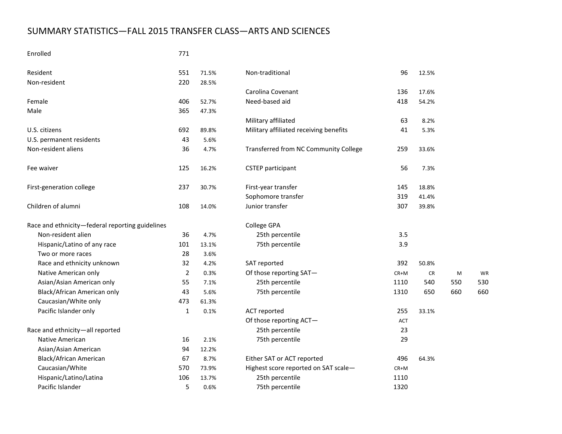# SUMMARY STATISTICS—FALL 2015 TRANSFER CLASS—ARTS AND SCIENCES

#### Enrolled 771

| Resident                                        | 551            | 71.5% | Non-traditional                        | 96   | 12.5% |     |     |
|-------------------------------------------------|----------------|-------|----------------------------------------|------|-------|-----|-----|
| Non-resident                                    | 220            | 28.5% |                                        |      |       |     |     |
|                                                 |                |       | Carolina Covenant                      | 136  | 17.6% |     |     |
| Female                                          | 406            | 52.7% | Need-based aid                         | 418  | 54.2% |     |     |
| Male                                            | 365            | 47.3% |                                        |      |       |     |     |
|                                                 |                |       | Military affiliated                    | 63   | 8.2%  |     |     |
| U.S. citizens                                   | 692            | 89.8% | Military affiliated receiving benefits | 41   | 5.3%  |     |     |
| U.S. permanent residents                        | 43             | 5.6%  |                                        |      |       |     |     |
| Non-resident aliens                             | 36             | 4.7%  | Transferred from NC Community College  | 259  | 33.6% |     |     |
| Fee waiver                                      | 125            | 16.2% | <b>CSTEP</b> participant               | 56   | 7.3%  |     |     |
| First-generation college                        | 237            | 30.7% | First-year transfer                    | 145  | 18.8% |     |     |
|                                                 |                |       | Sophomore transfer                     | 319  | 41.4% |     |     |
| Children of alumni                              | 108            | 14.0% | Junior transfer                        | 307  | 39.8% |     |     |
| Race and ethnicity-federal reporting guidelines |                |       | College GPA                            |      |       |     |     |
| Non-resident alien                              | 36             | 4.7%  | 25th percentile                        | 3.5  |       |     |     |
| Hispanic/Latino of any race                     | 101            | 13.1% | 75th percentile                        | 3.9  |       |     |     |
| Two or more races                               | 28             | 3.6%  |                                        |      |       |     |     |
| Race and ethnicity unknown                      | 32             | 4.2%  | SAT reported                           | 392  | 50.8% |     |     |
| Native American only                            | $\overline{2}$ | 0.3%  | Of those reporting SAT-                | CR+M | CR    | M   | WF  |
| Asian/Asian American only                       | 55             | 7.1%  | 25th percentile                        | 1110 | 540   | 550 | 530 |
| Black/African American only                     | 43             | 5.6%  | 75th percentile                        | 1310 | 650   | 660 | 660 |
| Caucasian/White only                            | 473            | 61.3% |                                        |      |       |     |     |
| Pacific Islander only                           | $\mathbf{1}$   | 0.1%  | <b>ACT</b> reported                    | 255  | 33.1% |     |     |
|                                                 |                |       | Of those reporting ACT-                | ACT  |       |     |     |
| Race and ethnicity-all reported                 |                |       | 25th percentile                        | 23   |       |     |     |
| <b>Native American</b>                          | 16             | 2.1%  | 75th percentile                        | 29   |       |     |     |
| Asian/Asian American                            | 94             | 12.2% |                                        |      |       |     |     |
| Black/African American                          | 67             | 8.7%  | Either SAT or ACT reported             | 496  | 64.3% |     |     |
| Caucasian/White                                 | 570            | 73.9% | Highest score reported on SAT scale-   | CR+M |       |     |     |
| Hispanic/Latino/Latina                          | 106            | 13.7% | 25th percentile                        | 1110 |       |     |     |
| Pacific Islander                                | 5              | 0.6%  | 75th percentile                        | 1320 |       |     |     |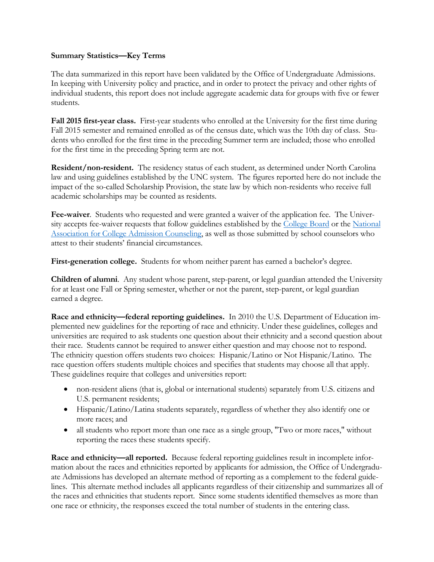#### **Summary Statistics—Key Terms**

The data summarized in this report have been validated by the Office of Undergraduate Admissions. In keeping with University policy and practice, and in order to protect the privacy and other rights of individual students, this report does not include aggregate academic data for groups with five or fewer students.

**Fall 2015 first-year class.** First-year students who enrolled at the University for the first time during Fall 2015 semester and remained enrolled as of the census date, which was the 10th day of class. Students who enrolled for the first time in the preceding Summer term are included; those who enrolled for the first time in the preceding Spring term are not.

**Resident/non-resident.** The residency status of each student, as determined under North Carolina law and using guidelines established by the UNC system. The figures reported here do not include the impact of the so-called Scholarship Provision, the state law by which non-residents who receive full academic scholarships may be counted as residents.

**Fee-waiver**. Students who requested and were granted a waiver of the application fee. The Univer-sity accepts fee-waiver requests that follow guidelines established by the [College Board](https://professionals.collegeboard.com/guidance/applications/fee-waivers) or the National [Association for College Admission Counseling,](http://www.nacacnet.org/studentinfo/feewaiver/Pages/default.aspx) as well as those submitted by school counselors who attest to their students' financial circumstances.

**First-generation college.** Students for whom neither parent has earned a bachelor's degree.

**Children of alumni**. Any student whose parent, step-parent, or legal guardian attended the University for at least one Fall or Spring semester, whether or not the parent, step-parent, or legal guardian earned a degree.

**Race and ethnicity—federal reporting guidelines.** In 2010 the U.S. Department of Education implemented new guidelines for the reporting of race and ethnicity. Under these guidelines, colleges and universities are required to ask students one question about their ethnicity and a second question about their race. Students cannot be required to answer either question and may choose not to respond. The ethnicity question offers students two choices: Hispanic/Latino or Not Hispanic/Latino. The race question offers students multiple choices and specifies that students may choose all that apply. These guidelines require that colleges and universities report:

- non-resident aliens (that is, global or international students) separately from U.S. citizens and U.S. permanent residents;
- Hispanic/Latino/Latina students separately, regardless of whether they also identify one or more races; and
- all students who report more than one race as a single group, "Two or more races," without reporting the races these students specify.

**Race and ethnicity—all reported.** Because federal reporting guidelines result in incomplete information about the races and ethnicities reported by applicants for admission, the Office of Undergraduate Admissions has developed an alternate method of reporting as a complement to the federal guidelines. This alternate method includes all applicants regardless of their citizenship and summarizes all of the races and ethnicities that students report. Since some students identified themselves as more than one race or ethnicity, the responses exceed the total number of students in the entering class.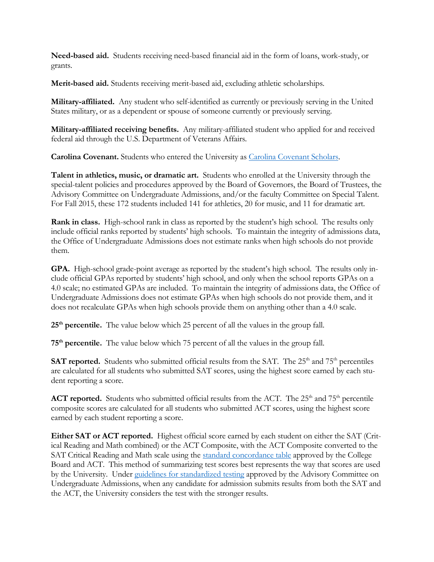**Need-based aid.** Students receiving need-based financial aid in the form of loans, work-study, or grants.

**Merit-based aid.** Students receiving merit-based aid, excluding athletic scholarships.

**Military-affiliated.** Any student who self-identified as currently or previously serving in the United States military, or as a dependent or spouse of someone currently or previously serving.

**Military-affiliated receiving benefits.** Any military-affiliated student who applied for and received federal aid through the U.S. Department of Veterans Affairs.

**Carolina Covenant.** Students who entered the University as [Carolina Covenant Scholars.](http://carolinacovenant.unc.edu/) 

**Talent in athletics, music, or dramatic art.** Students who enrolled at the University through the special-talent policies and procedures approved by the Board of Governors, the Board of Trustees, the Advisory Committee on Undergraduate Admissions, and/or the faculty Committee on Special Talent. For Fall 2015, these 172 students included 141 for athletics, 20 for music, and 11 for dramatic art.

**Rank in class.** High-school rank in class as reported by the student's high school. The results only include official ranks reported by students' high schools. To maintain the integrity of admissions data, the Office of Undergraduate Admissions does not estimate ranks when high schools do not provide them.

**GPA.** High-school grade-point average as reported by the student's high school. The results only include official GPAs reported by students' high school, and only when the school reports GPAs on a 4.0 scale; no estimated GPAs are included. To maintain the integrity of admissions data, the Office of Undergraduate Admissions does not estimate GPAs when high schools do not provide them, and it does not recalculate GPAs when high schools provide them on anything other than a 4.0 scale.

**25th percentile.** The value below which 25 percent of all the values in the group fall.

**75th percentile.** The value below which 75 percent of all the values in the group fall.

**SAT reported.** Students who submitted official results from the SAT. The 25<sup>th</sup> and 75<sup>th</sup> percentiles are calculated for all students who submitted SAT scores, using the highest score earned by each student reporting a score.

**ACT reported.** Students who submitted official results from the ACT. The  $25<sup>th</sup>$  and  $75<sup>th</sup>$  percentile composite scores are calculated for all students who submitted ACT scores, using the highest score earned by each student reporting a score.

**Either SAT or ACT reported.** Highest official score earned by each student on either the SAT (Critical Reading and Math combined) or the ACT Composite, with the ACT Composite converted to the SAT Critical Reading and Math scale using the [standard concordance table](http://research.collegeboard.org/sites/default/files/publications/2012/7/researchnote-2009-40-act-sat-concordance-tables.pdf) approved by the College Board and ACT. This method of summarizing test scores best represents the way that scores are used by the University. Under [guidelines for standardized testing](http://admissions.unc.edu/files/2013/09/Guidelines_for_Standardized_Testing.pdf) approved by the Advisory Committee on Undergraduate Admissions, when any candidate for admission submits results from both the SAT and the ACT, the University considers the test with the stronger results.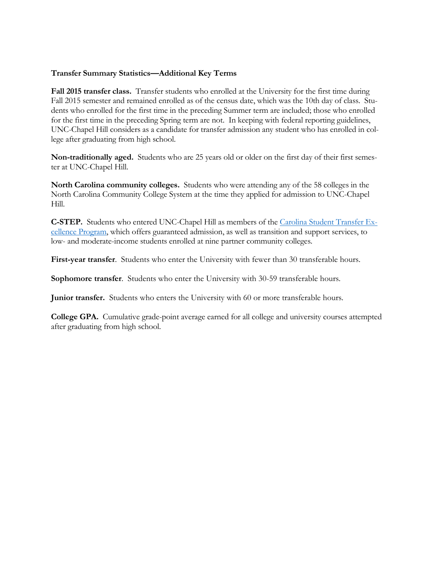#### **Transfer Summary Statistics—Additional Key Terms**

**Fall 2015 transfer class.** Transfer students who enrolled at the University for the first time during Fall 2015 semester and remained enrolled as of the census date, which was the 10th day of class. Students who enrolled for the first time in the preceding Summer term are included; those who enrolled for the first time in the preceding Spring term are not. In keeping with federal reporting guidelines, UNC-Chapel Hill considers as a candidate for transfer admission any student who has enrolled in college after graduating from high school.

**Non-traditionally aged.** Students who are 25 years old or older on the first day of their first semester at UNC-Chapel Hill.

**North Carolina community colleges.** Students who were attending any of the 58 colleges in the North Carolina Community College System at the time they applied for admission to UNC-Chapel Hill.

**C-STEP.** Students who entered UNC-Chapel Hill as members of the [Carolina Student Transfer Ex](http://admissions.unc.edu/apply/transfer-students/carolina-student-transfer-excellence-program-c-step/)[cellence Program,](http://admissions.unc.edu/apply/transfer-students/carolina-student-transfer-excellence-program-c-step/) which offers guaranteed admission, as well as transition and support services, to low- and moderate-income students enrolled at nine partner community colleges.

**First-year transfer**. Students who enter the University with fewer than 30 transferable hours.

**Sophomore transfer**. Students who enter the University with 30-59 transferable hours.

**Junior transfer.** Students who enters the University with 60 or more transferable hours.

**College GPA.** Cumulative grade-point average earned for all college and university courses attempted after graduating from high school.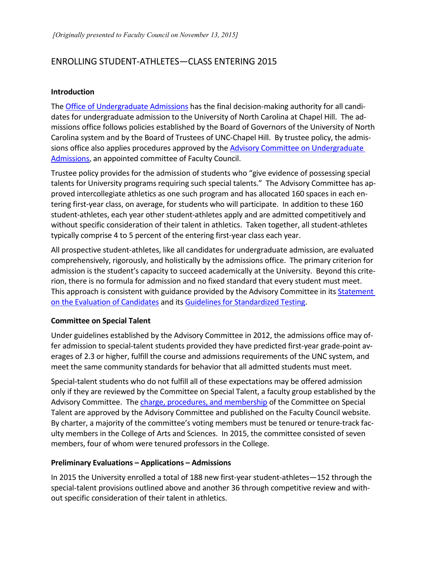## ENROLLING STUDENT-ATHLETES—CLASS ENTERING 2015

#### **Introduction**

The [Office of Undergraduate Admissions](http://admissions.unc.edu/) has the final decision-making authority for all candidates for undergraduate admission to the University of North Carolina at Chapel Hill. The admissions office follows policies established by the Board of Governors of the University of North Carolina system and by the Board of Trustees of UNC-Chapel Hill. By trustee policy, the admis-sions office also applies procedures approved by the Advisory Committee on [Undergraduate](http://faccoun.unc.edu/committees-2/appointed-committees/undergraduate-admissions-committee/) [Admissions,](http://faccoun.unc.edu/committees-2/appointed-committees/undergraduate-admissions-committee/) an appointed committee of Faculty Council.

Trustee policy provides for the admission of students who "give evidence of possessing special talents for University programs requiring such special talents." The Advisory Committee has approved intercollegiate athletics as one such program and has allocated 160 spaces in each entering first-year class, on average, for students who will participate. In addition to these 160 student-athletes, each year other student-athletes apply and are admitted competitively and without specific consideration of their talent in athletics. Taken together, all student-athletes typically comprise 4 to 5 percent of the entering first-year class each year.

All prospective student-athletes, like all candidates for undergraduate admission, are evaluated comprehensively, rigorously, and holistically by the admissions office. The primary criterion for admission is the student's capacity to succeed academically at the University. Beyond this criterion, there is no formula for admission and no fixed standard that every student must meet. This approach is consistent with guidance provided by the Advisory Committee in its Statement [on the Evaluation of Candidates](http://admissions.unc.edu/files/2013/09/Statement_on_the_Evaluation_of_Candidates.pdf) and its [Guidelines for Standardized Testing.](http://admissions.unc.edu/files/2013/09/Guidelines_for_Standardized_Testing.pdf)

#### **Committee on Special Talent**

Under guidelines established by the Advisory Committee in 2012, the admissions office may offer admission to special-talent students provided they have predicted first-year grade-point averages of 2.3 or higher, fulfill the course and admissions requirements of the UNC system, and meet the same community standards for behavior that all admitted students must meet.

Special-talent students who do not fulfill all of these expectations may be offered admission only if they are reviewed by the Committee on Special Talent, a faculty group established by the Advisory Committee. The charge, procedures, and [membership](http://faccoun.unc.edu/committees-2/appointed-committees/undergraduate-admissions-committee/committee-on-special-talent/) of the Committee on Special Talent are approved by the Advisory Committee and published on the Faculty Council website. By charter, a majority of the committee's voting members must be tenured or tenure-track faculty members in the College of Arts and Sciences. In 2015, the committee consisted of seven members, four of whom were tenured professors in the College.

#### **Preliminary Evaluations – Applications – Admissions**

In 2015 the University enrolled a total of 188 new first-year student-athletes—152 through the special-talent provisions outlined above and another 36 through competitive review and without specific consideration of their talent in athletics.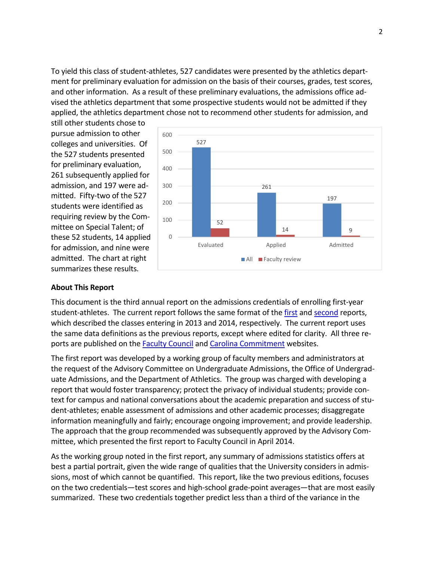To yield this class of student-athletes, 527 candidates were presented by the athletics department for preliminary evaluation for admission on the basis of their courses, grades, test scores, and other information. As a result of these preliminary evaluations, the admissions office advised the athletics department that some prospective students would not be admitted if they applied, the athletics department chose not to recommend other students for admission, and

still other students chose to pursue admission to other colleges and universities. Of the 527 students presented for preliminary evaluation, 261 subsequently applied for admission, and 197 were admitted. Fifty-two of the 527 students were identified as requiring review by the Committee on Special Talent; of these 52 students, 14 applied for admission, and nine were admitted. The chart at right summarizes these results.



#### **About This Report**

This document is the third annual report on the admissions credentials of enrolling first-year student-athletes. The current report follows the same format of the [first](http://faccoun.unc.edu/wp-content/uploads/2010/10/UAD2012-2013.pdf) and [second](http://faccoun.unc.edu/wp-content/uploads/2010/10/UAD2013-2014_CORRECTED.pdf) reports, which described the classes entering in 2013 and 2014, respectively. The current report uses the same data definitions as the previous reports, except where edited for clarity. All three reports are published on the [Faculty Council](http://faccoun.unc.edu/faculty-council/) and [Carolina Commitment](http://carolinacommitment.unc.edu/) websites.

The first report was developed by a working group of faculty members and administrators at the request of the Advisory Committee on Undergraduate Admissions, the Office of Undergraduate Admissions, and the Department of Athletics. The group was charged with developing a report that would foster transparency; protect the privacy of individual students; provide context for campus and national conversations about the academic preparation and success of student-athletes; enable assessment of admissions and other academic processes; disaggregate information meaningfully and fairly; encourage ongoing improvement; and provide leadership. The approach that the group recommended was subsequently approved by the Advisory Committee, which presented the first report to Faculty Council in April 2014.

As the working group noted in the first report, any summary of admissions statistics offers at best a partial portrait, given the wide range of qualities that the University considers in admissions, most of which cannot be quantified. This report, like the two previous editions, focuses on the two credentials—test scores and high-school grade-point averages—that are most easily summarized. These two credentials together predict less than a third of the variance in the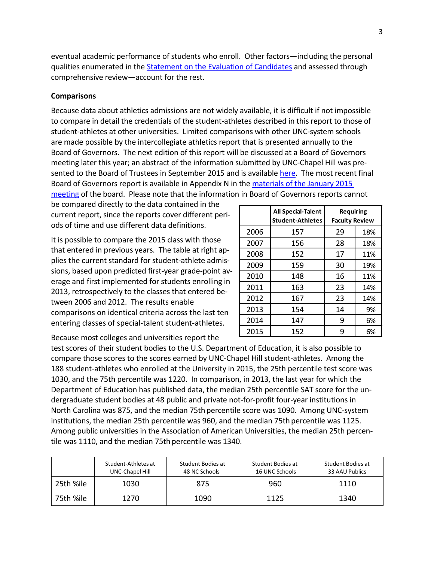eventual academic performance of students who enroll. Other factors—including the personal qualities enumerated in the [Statement on the Evaluation of Candidates](http://admissions.unc.edu/files/2013/09/Statement_on_the_Evaluation_of_Candidates.pdf) and assessed through comprehensive review—account for the rest.

#### **Comparisons**

Because data about athletics admissions are not widely available, it is difficult if not impossible to compare in detail the credentials of the student-athletes described in this report to those of student-athletes at other universities. Limited comparisons with other UNC-system schools are made possible by the intercollegiate athletics report that is presented annually to the Board of Governors. The next edition of this report will be discussed at a Board of Governors meeting later this year; an abstract of the information submitted by UNC-Chapel Hill was presented to the Board of Trustees in September 2015 and is availabl[e here.](https://bot.unc.edu/files/2015/09/University-Affairs-Committee_Public.pdf) The most recent final Board of Governors report is available in Appendix N in the [materials of the January 2015](http://www.northcarolina.edu/apps/bog/index.php?mode=browse_premeeting&mid=5206&code=bog) 

[meeting](http://www.northcarolina.edu/apps/bog/index.php?mode=browse_premeeting&mid=5206&code=bog) of the board. Please note that the information in Board of Governors reports cannot

be compared directly to the data contained in the current report, since the reports cover different periods of time and use different data definitions.

It is possible to compare the 2015 class with those that entered in previous years. The table at right applies the current standard for student-athlete admissions, based upon predicted first-year grade-point average and first implemented for students enrolling in 2013, retrospectively to the classes that entered between 2006 and 2012. The results enable comparisons on identical criteria across the last ten entering classes of special-talent student-athletes.

|      | <b>All Special-Talent</b><br><b>Student-Athletes</b> | <b>Requiring</b><br><b>Faculty Review</b> |     |  |
|------|------------------------------------------------------|-------------------------------------------|-----|--|
| 2006 | 157                                                  | 29                                        | 18% |  |
| 2007 | 156                                                  | 28                                        | 18% |  |
| 2008 | 152                                                  | 17                                        | 11% |  |
| 2009 | 159                                                  | 30                                        | 19% |  |
| 2010 | 148                                                  | 16                                        | 11% |  |
| 2011 | 163                                                  | 23                                        | 14% |  |
| 2012 | 167                                                  | 23                                        | 14% |  |
| 2013 | 154                                                  | 14                                        | 9%  |  |
| 2014 | 147                                                  | 9                                         | 6%  |  |
| 2015 | 152                                                  | g                                         | 6%  |  |

Because most colleges and universities report the

test scores of their student bodies to the U.S. Department of Education, it is also possible to compare those scores to the scores earned by UNC-Chapel Hill student-athletes. Among the 188 student-athletes who enrolled at the University in 2015, the 25th percentile test score was 1030, and the 75th percentile was 1220. In comparison, in 2013, the last year for which the Department of Education has published data, the median 25th percentile SAT score for the undergraduate student bodies at 48 public and private not-for-profit four-year institutions in North Carolina was 875, and the median 75th percentile score was 1090. Among UNC-system institutions, the median 25th percentile was 960, and the median 75th percentile was 1125. Among public universities in the Association of American Universities, the median 25th percentile was 1110, and the median 75th percentile was 1340.

|           | Student-Athletes at<br>UNC-Chapel Hill | Student Bodies at<br>48 NC Schools | Student Bodies at<br>16 UNC Schools | Student Bodies at<br>33 AAU Publics |
|-----------|----------------------------------------|------------------------------------|-------------------------------------|-------------------------------------|
| 25th %ile | 1030                                   | 875                                | 960                                 | 1110                                |
| 75th %ile | 1270                                   | 1090                               | 1125                                | 1340                                |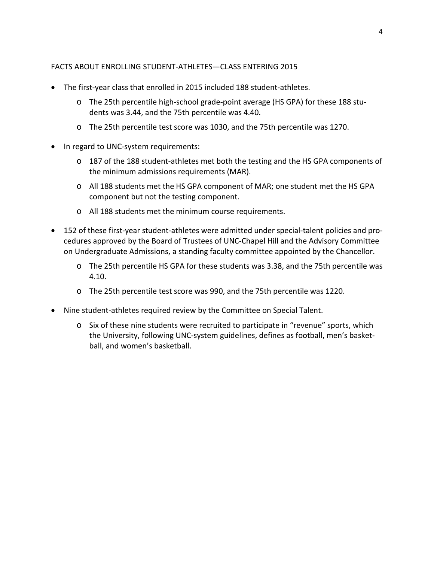#### FACTS ABOUT ENROLLING STUDENT-ATHLETES—CLASS ENTERING 2015

- The first-year class that enrolled in 2015 included 188 student-athletes.
	- o The 25th percentile high-school grade-point average (HS GPA) for these 188 students was 3.44, and the 75th percentile was 4.40.
	- o The 25th percentile test score was 1030, and the 75th percentile was 1270.
- In regard to UNC-system requirements:
	- o 187 of the 188 student-athletes met both the testing and the HS GPA components of the minimum admissions requirements (MAR).
	- o All 188 students met the HS GPA component of MAR; one student met the HS GPA component but not the testing component.
	- o All 188 students met the minimum course requirements.
- 152 of these first-year student-athletes were admitted under special-talent policies and procedures approved by the Board of Trustees of UNC-Chapel Hill and the Advisory Committee on Undergraduate Admissions, a standing faculty committee appointed by the Chancellor.
	- o The 25th percentile HS GPA for these students was 3.38, and the 75th percentile was 4.10.
	- o The 25th percentile test score was 990, and the 75th percentile was 1220.
- Nine student-athletes required review by the Committee on Special Talent.
	- o Six of these nine students were recruited to participate in "revenue" sports, which the University, following UNC-system guidelines, defines as football, men's basketball, and women's basketball.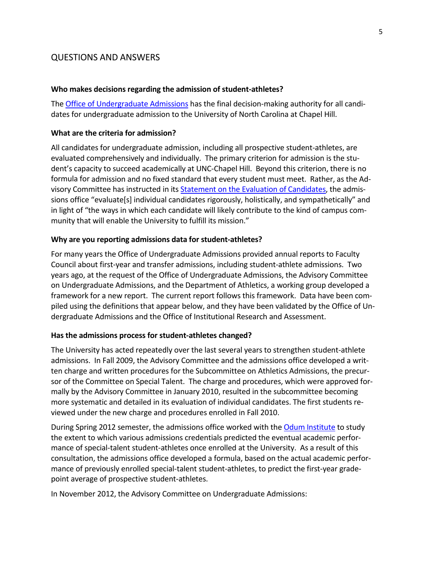### QUESTIONS AND ANSWERS

#### **Who makes decisions regarding the admission of student-athletes?**

The Office of [Undergraduate](http://admissions.unc.edu/) Admissions has the final decision-making authority for all candidates for undergraduate admission to the University of North Carolina at Chapel Hill.

#### **What are the criteria for admission?**

All candidates for undergraduate admission, including all prospective student-athletes, are evaluated comprehensively and individually. The primary criterion for admission is the student's capacity to succeed academically at UNC-Chapel Hill. Beyond this criterion, there is no formula for admission and no fixed standard that every student must meet. Rather, as the Advisory Committee has instructed in its Statement on the Evaluation of [Candidates,](http://admissions.unc.edu/files/2013/09/Statement_on_the_Evaluation_of_Candidates.pdf) the admissions office "evaluate[s] individual candidates rigorously, holistically, and sympathetically" and in light of "the ways in which each candidate will likely contribute to the kind of campus community that will enable the University to fulfill its mission."

#### **Why are you reporting admissions data for student-athletes?**

For many years the Office of Undergraduate Admissions provided annual reports to Faculty Council about first-year and transfer admissions, including student-athlete admissions. Two years ago, at the request of the Office of Undergraduate Admissions, the Advisory Committee on Undergraduate Admissions, and the Department of Athletics, a working group developed a framework for a new report. The current report follows this framework. Data have been compiled using the definitions that appear below, and they have been validated by the Office of Undergraduate Admissions and the Office of Institutional Research and Assessment.

#### **Has the admissions process for student-athletes changed?**

The University has acted repeatedly over the last several years to strengthen student-athlete admissions. In Fall 2009, the Advisory Committee and the admissions office developed a written charge and written procedures for the Subcommittee on Athletics Admissions, the precursor of the Committee on Special Talent. The charge and procedures, which were approved formally by the Advisory Committee in January 2010, resulted in the subcommittee becoming more systematic and detailed in its evaluation of individual candidates. The first students reviewed under the new charge and procedures enrolled in Fall 2010.

During Spring 2012 semester, the admissions office worked with th[e Odum Institute](http://www.odum.unc.edu/odum/home2.jsp) to study the extent to which various admissions credentials predicted the eventual academic performance of special-talent student-athletes once enrolled at the University. As a result of this consultation, the admissions office developed a formula, based on the actual academic performance of previously enrolled special-talent student-athletes, to predict the first-year gradepoint average of prospective student-athletes.

In November 2012, the Advisory Committee on Undergraduate Admissions: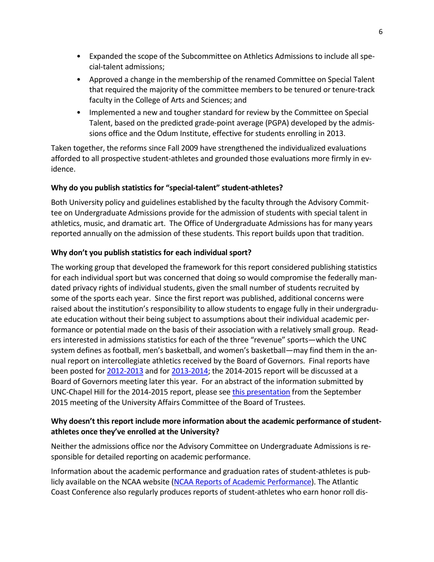- Expanded the scope of the Subcommittee on Athletics Admissions to include all special-talent admissions;
- Approved a change in the membership of the renamed Committee on Special Talent that required the majority of the committee members to be tenured or tenure-track faculty in the College of Arts and Sciences; and
- Implemented a new and tougher standard for review by the Committee on Special Talent, based on the predicted grade-point average (PGPA) developed by the admissions office and the Odum Institute, effective for students enrolling in 2013.

Taken together, the reforms since Fall 2009 have strengthened the individualized evaluations afforded to all prospective student-athletes and grounded those evaluations more firmly in evidence.

### **Why do you publish statistics for "special-talent" student-athletes?**

Both University policy and guidelines established by the faculty through the Advisory Committee on Undergraduate Admissions provide for the admission of students with special talent in athletics, music, and dramatic art. The Office of Undergraduate Admissions has for many years reported annually on the admission of these students. This report builds upon that tradition.

### **Why don't you publish statistics for each individual sport?**

The working group that developed the framework for this report considered publishing statistics for each individual sport but was concerned that doing so would compromise the federally mandated privacy rights of individual students, given the small number of students recruited by some of the sports each year. Since the first report was published, additional concerns were raised about the institution's responsibility to allow students to engage fully in their undergraduate education without their being subject to assumptions about their individual academic performance or potential made on the basis of their association with a relatively small group. Readers interested in admissions statistics for each of the three "revenue" sports—which the UNC system defines as football, men's basketball, and women's basketball—may find them in the annual report on intercollegiate athletics received by the Board of Governors. Final reports have been posted for [2012-2013](http://www.northcarolina.edu/sites/default/files/item_9_unc_intercollegiate_athletics_report_1012-2013.pdf) and for [2013-2014;](http://www.northcarolina.edu/apps/bog/index.php?mode=browse_premeeting&mid=5206&code=bog) the 2014-2015 report will be discussed at a Board of Governors meeting later this year. For an abstract of the information submitted by UNC-Chapel Hill for the 2014-2015 report, please see [this presentation](https://bot.unc.edu/files/2015/09/University-Affairs-Committee_Public.pdf) from the September 2015 meeting of the University Affairs Committee of the Board of Trustees.

### **Why doesn't this report include more information about the academic performance of studentathletes once they've enrolled at the University?**

Neither the admissions office nor the Advisory Committee on Undergraduate Admissions is responsible for detailed reporting on academic performance.

Information about the academic performance and graduation rates of student-athletes is publicly available on the NCAA website (NCAA Reports of Academic [Performance\)](http://fs.ncaa.org/Docs/newmedia/public/rates/index.html). The Atlantic Coast Conference also regularly produces reports of student-athletes who earn honor roll dis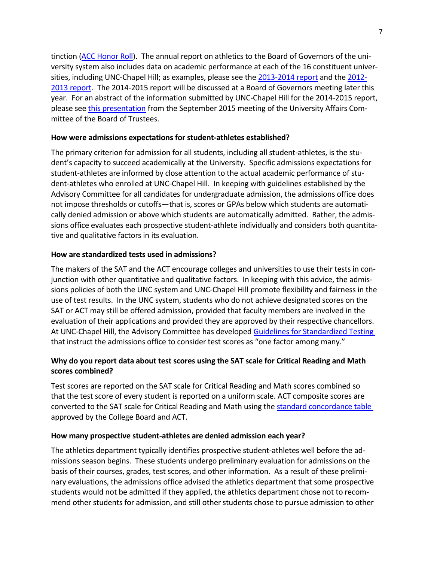tinction (ACC [Honor](http://www.theacc.com/news/ACC-Announces-Honor-Roll-For-2013-2014-Academic-Year_08-07-14_k73bk7) Roll). The annual report on athletics to the Board of Governors of the university system also includes data on academic performance at each of the 16 constituent universities, including UNC-Chapel Hill; as examples, please see the [2013-2014 report](http://www.northcarolina.edu/apps/bog/index.php?mode=browse_premeeting&mid=5206&code=bog) and th[e 2012-](http://www.northcarolina.edu/sites/default/files/item_9_unc_intercollegiate_athletics_report_1012-2013.pdf) [2013 report.](http://www.northcarolina.edu/sites/default/files/item_9_unc_intercollegiate_athletics_report_1012-2013.pdf) The 2014-2015 report will be discussed at a Board of Governors meeting later this year. For an abstract of the information submitted by UNC-Chapel Hill for the 2014-2015 report, please see [this presentation](https://bot.unc.edu/files/2015/09/University-Affairs-Committee_Public.pdf) from the September 2015 meeting of the University Affairs Committee of the Board of Trustees.

#### **How were admissions expectations for student-athletes established?**

The primary criterion for admission for all students, including all student-athletes, is the student's capacity to succeed academically at the University. Specific admissions expectations for student-athletes are informed by close attention to the actual academic performance of student-athletes who enrolled at UNC-Chapel Hill. In keeping with guidelines established by the Advisory Committee for all candidates for undergraduate admission, the admissions office does not impose thresholds or cutoffs—that is, scores or GPAs below which students are automatically denied admission or above which students are automatically admitted. Rather, the admissions office evaluates each prospective student-athlete individually and considers both quantitative and qualitative factors in its evaluation.

#### **How are standardized tests used in admissions?**

The makers of the SAT and the ACT encourage colleges and universities to use their tests in conjunction with other quantitative and qualitative factors. In keeping with this advice, the admissions policies of both the UNC system and UNC-Chapel Hill promote flexibility and fairness in the use of test results. In the UNC system, students who do not achieve designated scores on the SAT or ACT may still be offered admission, provided that faculty members are involved in the evaluation of their applications and provided they are approved by their respective chancellors. At UNC-Chapel Hill, the Advisory Committee has developed Guidelines for [Standardized](http://admissions.unc.edu/files/2013/09/Guidelines_for_Standardized_Testing.pdf) Testing that instruct the admissions office to consider test scores as "one factor among many."

### **Why do you report data about test scores using the SAT scale for Critical Reading and Math scores combined?**

Test scores are reported on the SAT scale for Critical Reading and Math scores combined so that the test score of every student is reported on a uniform scale. ACT composite scores are converted to the SAT scale for Critical Reading and Math using the standard [concordance](http://research.collegeboard.org/sites/default/files/publications/2012/7/researchnote-2009-40-act-sat-concordance-tables.pdf) table approved by the College Board and ACT.

#### **How many prospective student-athletes are denied admission each year?**

The athletics department typically identifies prospective student-athletes well before the admissions season begins. These students undergo preliminary evaluation for admissions on the basis of their courses, grades, test scores, and other information. As a result of these preliminary evaluations, the admissions office advised the athletics department that some prospective students would not be admitted if they applied, the athletics department chose not to recommend other students for admission, and still other students chose to pursue admission to other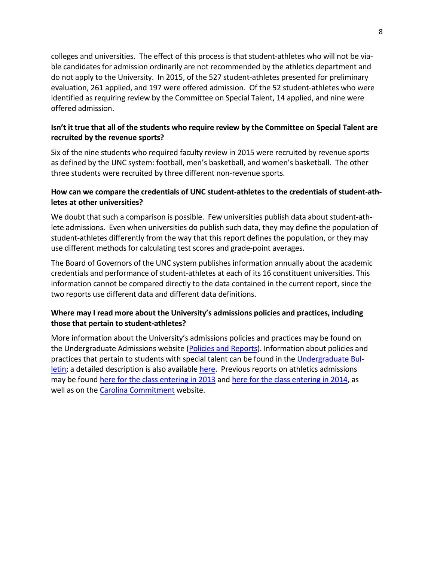colleges and universities. The effect of this process is that student-athletes who will not be viable candidates for admission ordinarily are not recommended by the athletics department and do not apply to the University. In 2015, of the 527 student-athletes presented for preliminary evaluation, 261 applied, and 197 were offered admission. Of the 52 student-athletes who were identified as requiring review by the Committee on Special Talent, 14 applied, and nine were offered admission.

### **Isn't it true that all of the students who require review by the Committee on Special Talent are recruited by the revenue sports?**

Six of the nine students who required faculty review in 2015 were recruited by revenue sports as defined by the UNC system: football, men's basketball, and women's basketball. The other three students were recruited by three different non-revenue sports.

### **How can we compare the credentials of UNC student-athletes to the credentials of student-athletes at other universities?**

We doubt that such a comparison is possible. Few universities publish data about student-athlete admissions. Even when universities do publish such data, they may define the population of student-athletes differently from the way that this report defines the population, or they may use different methods for calculating test scores and grade-point averages.

The Board of Governors of the UNC system publishes information annually about the academic credentials and performance of student-athletes at each of its 16 constituent universities. This information cannot be compared directly to the data contained in the current report, since the two reports use different data and different data definitions.

### **Where may I read more about the University's admissions policies and practices, including those that pertain to student-athletes?**

More information about the University's admissions policies and practices may be found on the Undergraduate Admissions website (Policies and [Reports\)](http://admissions.unc.edu/policies-and-reports/). Information about policies and practices that pertain to students with special talent can be found in the [Undergraduate](http://www.unc.edu/ugradbulletin/admissions.html) Bul[letin;](http://www.unc.edu/ugradbulletin/admissions.html) a detailed description is also availabl[e here.](http://www.unc.edu/sacs/Jan2015/Reports/3.4.3-Admission.html) Previous reports on athletics admissions may be found [here for the class entering in 2013](http://faccoun.unc.edu/wp-content/uploads/2010/10/UAD2012-2013.pdf) and [here for the class entering in 2014,](http://faccoun.unc.edu/wp-content/uploads/2010/10/UAD2013-2014_CORRECTED.pdf) as well as on the [Carolina Commitment](http://carolinacommitment.unc.edu/) website.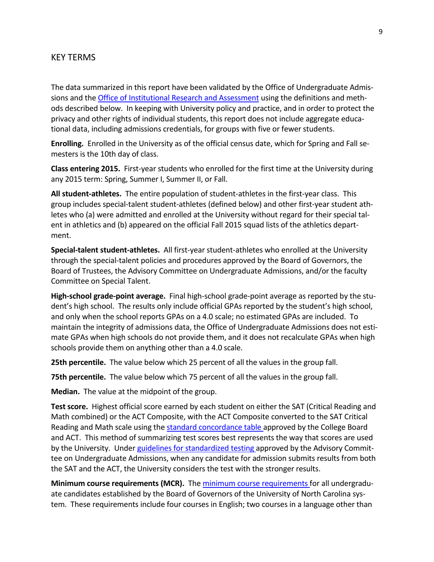#### KEY TERMS

The data summarized in this report have been validated by the Office of Undergraduate Admissions and the Office of [Institutional](https://oira.unc.edu/) Research and Assessment using the definitions and methods described below. In keeping with University policy and practice, and in order to protect the privacy and other rights of individual students, this report does not include aggregate educational data, including admissions credentials, for groups with five or fewer students.

**Enrolling.** Enrolled in the University as of the official census date, which for Spring and Fall semesters is the 10th day of class.

**Class entering 2015.** First-year students who enrolled for the first time at the University during any 2015 term: Spring, Summer I, Summer II, or Fall.

**All student-athletes.** The entire population of student-athletes in the first-year class. This group includes special-talent student-athletes (defined below) and other first-year student athletes who (a) were admitted and enrolled at the University without regard for their special talent in athletics and (b) appeared on the official Fall 2015 squad lists of the athletics department.

**Special-talent student-athletes.** All first-year student-athletes who enrolled at the University through the special-talent policies and procedures approved by the Board of Governors, the Board of Trustees, the Advisory Committee on Undergraduate Admissions, and/or the faculty Committee on Special Talent.

**High-school grade-point average.** Final high-school grade-point average as reported by the student's high school. The results only include official GPAs reported by the student's high school, and only when the school reports GPAs on a 4.0 scale; no estimated GPAs are included. To maintain the integrity of admissions data, the Office of Undergraduate Admissions does not estimate GPAs when high schools do not provide them, and it does not recalculate GPAs when high schools provide them on anything other than a 4.0 scale.

**25th percentile.** The value below which 25 percent of all the values in the group fall.

**75th percentile.** The value below which 75 percent of all the values in the group fall.

**Median.** The value at the midpoint of the group.

**Test score.** Highest official score earned by each student on either the SAT (Critical Reading and Math combined) or the ACT Composite, with the ACT Composite converted to the SAT Critical Reading and Math scale using the standard [concordance](http://research.collegeboard.org/sites/default/files/publications/2012/7/researchnote-2009-40-act-sat-concordance-tables.pdf) table approved by the College Board and ACT. This method of summarizing test scores best represents the way that scores are used by the University. Under guidelines for [standardized](http://admissions.unc.edu/files/2013/09/Guidelines_for_Standardized_Testing.pdf) testing approved by the Advisory Committee on Undergraduate Admissions, when any candidate for admission submits results from both the SAT and the ACT, the University considers the test with the stronger results.

**Minimum course requirements (MCR).** The minimum course [requirements](http://www.northcarolina.edu/aa/admissions/requirements.htm) for all undergraduate candidates established by the Board of Governors of the University of North Carolina system. These requirements include four courses in English; two courses in a language other than